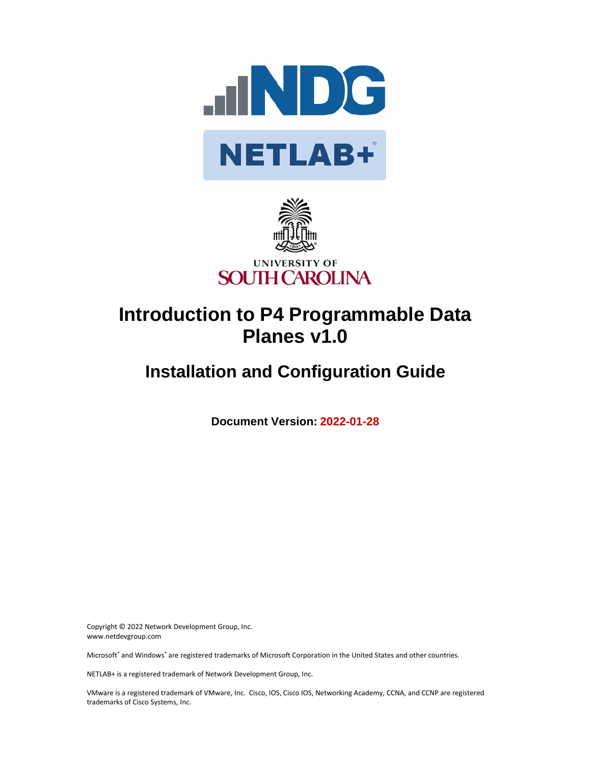



# **Introduction to P4 Programmable Data Planes v1.0**

## **Installation and Configuration Guide**

**Document Version: 2022-01-28**

Copyright © 2022 Network Development Group, Inc. www.netdevgroup.com

Microsoft® and Windows® are registered trademarks of Microsoft Corporation in the United States and other countries.

NETLAB+ is a registered trademark of Network Development Group, Inc.

VMware is a registered trademark of VMware, Inc. Cisco, IOS, Cisco IOS, Networking Academy, CCNA, and CCNP are registered trademarks of Cisco Systems, Inc.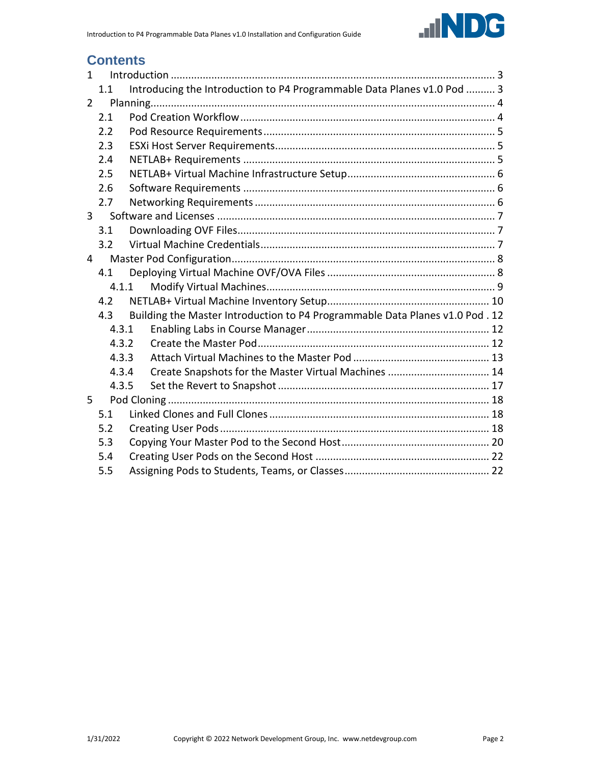

## **Contents**

| $\mathbf{1}$   |       |                                                                               |  |  |  |  |
|----------------|-------|-------------------------------------------------------------------------------|--|--|--|--|
|                | 1.1   | Introducing the Introduction to P4 Programmable Data Planes v1.0 Pod  3       |  |  |  |  |
| $\overline{2}$ |       |                                                                               |  |  |  |  |
|                | 2.1   |                                                                               |  |  |  |  |
|                | 2.2   |                                                                               |  |  |  |  |
|                | 2.3   |                                                                               |  |  |  |  |
|                | 2.4   |                                                                               |  |  |  |  |
|                | 2.5   |                                                                               |  |  |  |  |
|                | 2.6   |                                                                               |  |  |  |  |
|                | 2.7   |                                                                               |  |  |  |  |
| $\overline{3}$ |       |                                                                               |  |  |  |  |
|                | 3.1   |                                                                               |  |  |  |  |
|                | 3.2   |                                                                               |  |  |  |  |
| 4              |       |                                                                               |  |  |  |  |
|                | 4.1   |                                                                               |  |  |  |  |
|                | 4.1.1 |                                                                               |  |  |  |  |
|                | 4.2   |                                                                               |  |  |  |  |
|                | 4.3   | Building the Master Introduction to P4 Programmable Data Planes v1.0 Pod . 12 |  |  |  |  |
|                | 4.3.1 |                                                                               |  |  |  |  |
|                | 4.3.2 |                                                                               |  |  |  |  |
|                | 4.3.3 |                                                                               |  |  |  |  |
|                | 4.3.4 | Create Snapshots for the Master Virtual Machines  14                          |  |  |  |  |
|                | 4.3.5 |                                                                               |  |  |  |  |
| 5              |       |                                                                               |  |  |  |  |
|                | 5.1   |                                                                               |  |  |  |  |
|                | 5.2   |                                                                               |  |  |  |  |
|                | 5.3   |                                                                               |  |  |  |  |
|                | 5.4   |                                                                               |  |  |  |  |
|                | 5.5   |                                                                               |  |  |  |  |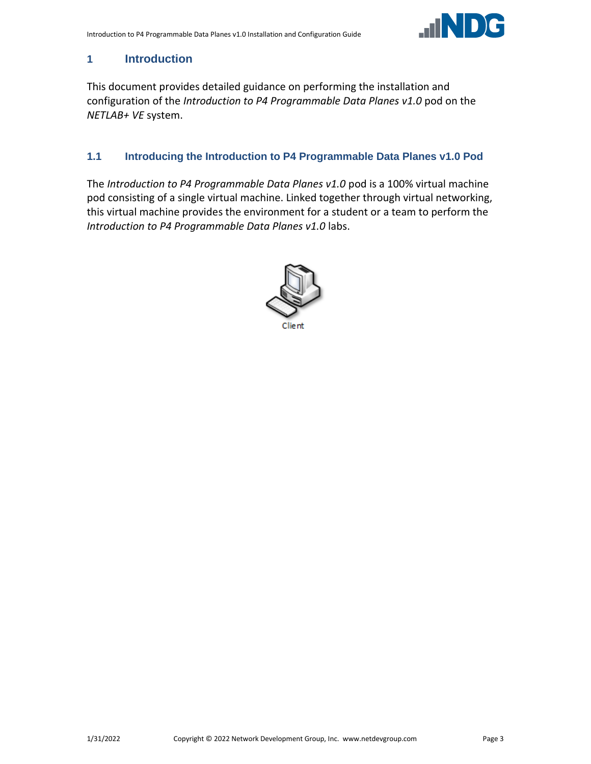

## <span id="page-2-0"></span>**1 Introduction**

This document provides detailed guidance on performing the installation and configuration of the *Introduction to P4 Programmable Data Planes v1.0* pod on the *NETLAB+ VE* system.

#### <span id="page-2-1"></span>**1.1 Introducing the Introduction to P4 Programmable Data Planes v1.0 Pod**

The *Introduction to P4 Programmable Data Planes v1.0* pod is a 100% virtual machine pod consisting of a single virtual machine. Linked together through virtual networking, this virtual machine provides the environment for a student or a team to perform the *Introduction to P4 Programmable Data Planes v1.0* labs.

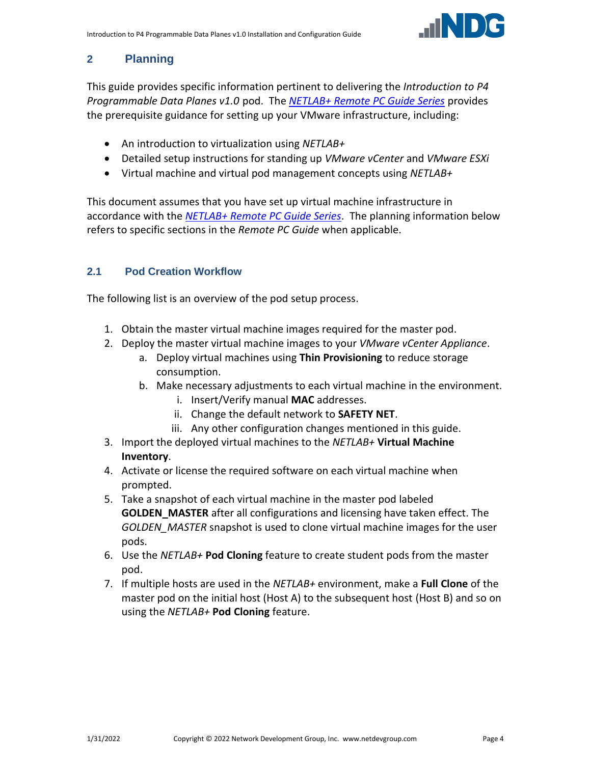

## <span id="page-3-0"></span>**2 Planning**

This guide provides specific information pertinent to delivering the *Introduction to P4 Programmable Data Planes v1.0* pod. The *[NETLAB+ Remote PC Guide Series](http://www.netdevgroup.com/support/documentation/netlabve/)* provides the prerequisite guidance for setting up your VMware infrastructure, including:

- An introduction to virtualization using *NETLAB+*
- Detailed setup instructions for standing up *VMware vCenter* and *VMware ESXi*
- Virtual machine and virtual pod management concepts using *NETLAB+*

This document assumes that you have set up virtual machine infrastructure in accordance with the *[NETLAB+ Remote PC Guide Series](http://www.netdevgroup.com/support/documentation/netlabve/)*. The planning information below refers to specific sections in the *Remote PC Guide* when applicable.

## <span id="page-3-1"></span>**2.1 Pod Creation Workflow**

The following list is an overview of the pod setup process.

- 1. Obtain the master virtual machine images required for the master pod.
- 2. Deploy the master virtual machine images to your *VMware vCenter Appliance*.
	- a. Deploy virtual machines using **Thin Provisioning** to reduce storage consumption.
	- b. Make necessary adjustments to each virtual machine in the environment.
		- i. Insert/Verify manual **MAC** addresses.
		- ii. Change the default network to **SAFETY NET**.
		- iii. Any other configuration changes mentioned in this guide.
- 3. Import the deployed virtual machines to the *NETLAB+* **Virtual Machine Inventory**.
- 4. Activate or license the required software on each virtual machine when prompted.
- 5. Take a snapshot of each virtual machine in the master pod labeled **GOLDEN\_MASTER** after all configurations and licensing have taken effect. The *GOLDEN\_MASTER* snapshot is used to clone virtual machine images for the user pods.
- 6. Use the *NETLAB+* **Pod Cloning** feature to create student pods from the master pod.
- 7. If multiple hosts are used in the *NETLAB+* environment, make a **Full Clone** of the master pod on the initial host (Host A) to the subsequent host (Host B) and so on using the *NETLAB+* **Pod Cloning** feature.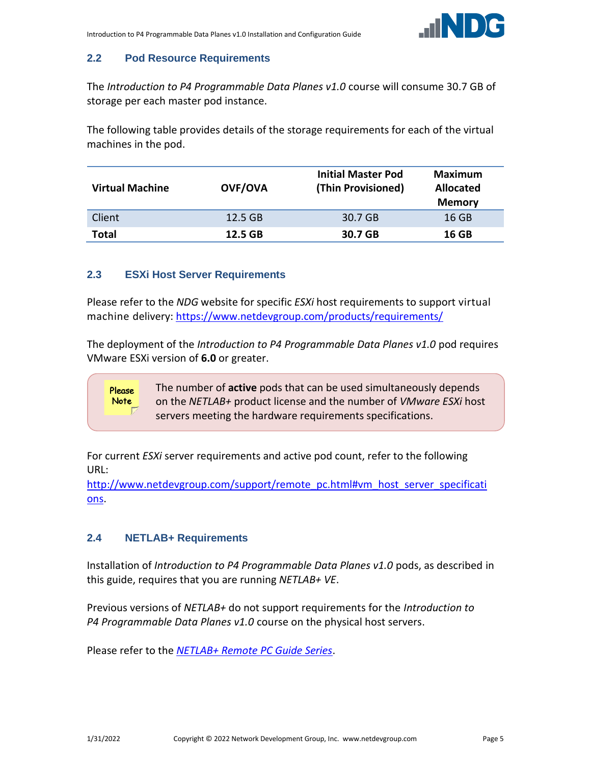

## <span id="page-4-0"></span>**2.2 Pod Resource Requirements**

The *Introduction to P4 Programmable Data Planes v1.0* course will consume 30.7 GB of storage per each master pod instance.

The following table provides details of the storage requirements for each of the virtual machines in the pod.

| <b>Virtual Machine</b> | <b>OVF/OVA</b> | <b>Initial Master Pod</b><br>(Thin Provisioned) | Maximum<br><b>Allocated</b><br><b>Memory</b> |
|------------------------|----------------|-------------------------------------------------|----------------------------------------------|
| Client                 | $12.5$ GB      | 30.7 GB                                         | 16 GB                                        |
| Total                  | 12.5 GB        | 30.7 GB                                         | 16 GB                                        |

#### <span id="page-4-1"></span>**2.3 ESXi Host Server Requirements**

Please refer to the *NDG* website for specific *ESXi* host requirements to support virtual machine delivery: <https://www.netdevgroup.com/products/requirements/>

The deployment of the *Introduction to P4 Programmable Data Planes v1.0* pod requires VMware ESXi version of **6.0** or greater.

> The number of **active** pods that can be used simultaneously depends on the *NETLAB+* product license and the number of *VMware ESXi* host servers meeting the hardware requirements specifications.

For current *ESXi* server requirements and active pod count, refer to the following URL:

[http://www.netdevgroup.com/support/remote\\_pc.html#vm\\_host\\_server\\_specificati](http://www.netdevgroup.com/support/remote_pc.html#vm_host_server_specifications) [ons.](http://www.netdevgroup.com/support/remote_pc.html#vm_host_server_specifications)

## <span id="page-4-2"></span>**2.4 NETLAB+ Requirements**

Please **Note** 

Installation of *Introduction to P4 Programmable Data Planes v1.0* pods, as described in this guide, requires that you are running *NETLAB+ VE*.

Previous versions of *NETLAB+* do not support requirements for the *Introduction to P4 Programmable Data Planes v1.0* course on the physical host servers.

Please refer to the *[NETLAB+ Remote PC Guide Series](https://www.netdevgroup.com/support/documentation/netlabve/)*.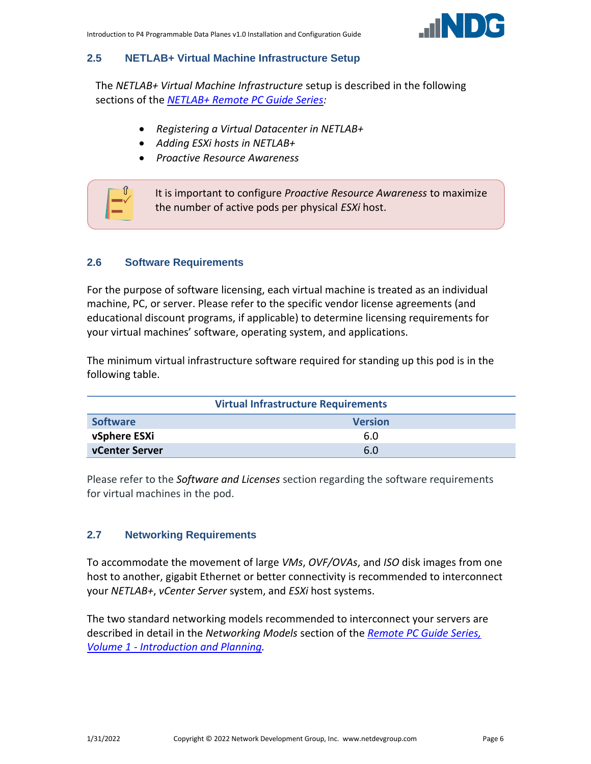

#### <span id="page-5-0"></span>**2.5 NETLAB+ Virtual Machine Infrastructure Setup**

The *NETLAB+ Virtual Machine Infrastructure* setup is described in the following sections of the *[NETLAB+ Remote PC Guide Series:](http://www.netdevgroup.com/support/documentation/netlabve/)*

- *Registering a Virtual Datacenter in NETLAB+*
- *Adding ESXi hosts in NETLAB+*
- *Proactive Resource Awareness*



#### <span id="page-5-1"></span>**2.6 Software Requirements**

For the purpose of software licensing, each virtual machine is treated as an individual machine, PC, or server. Please refer to the specific vendor license agreements (and educational discount programs, if applicable) to determine licensing requirements for your virtual machines' software, operating system, and applications.

The minimum virtual infrastructure software required for standing up this pod is in the following table.

| <b>Virtual Infrastructure Requirements</b> |     |  |  |  |
|--------------------------------------------|-----|--|--|--|
| <b>Software</b><br><b>Version</b>          |     |  |  |  |
| vSphere ESXi                               | 6.0 |  |  |  |
| vCenter Server                             | 6.0 |  |  |  |

Please refer to the *Software and Licenses* section regarding the software requirements for virtual machines in the pod.

#### <span id="page-5-2"></span>**2.7 Networking Requirements**

To accommodate the movement of large *VMs*, *OVF/OVAs*, and *ISO* disk images from one host to another, gigabit Ethernet or better connectivity is recommended to interconnect your *NETLAB+*, *vCenter Server* system, and *ESXi* host systems.

The two standard networking models recommended to interconnect your servers are described in detail in the *Networking Models* section of the *[Remote PC Guide Series,](http://www.netdevgroup.com/support/documentation/NETLAB_Remote_PC_Guide_Vol_1_Introduction.pdf)  Volume 1 - [Introduction and Planning.](http://www.netdevgroup.com/support/documentation/NETLAB_Remote_PC_Guide_Vol_1_Introduction.pdf)*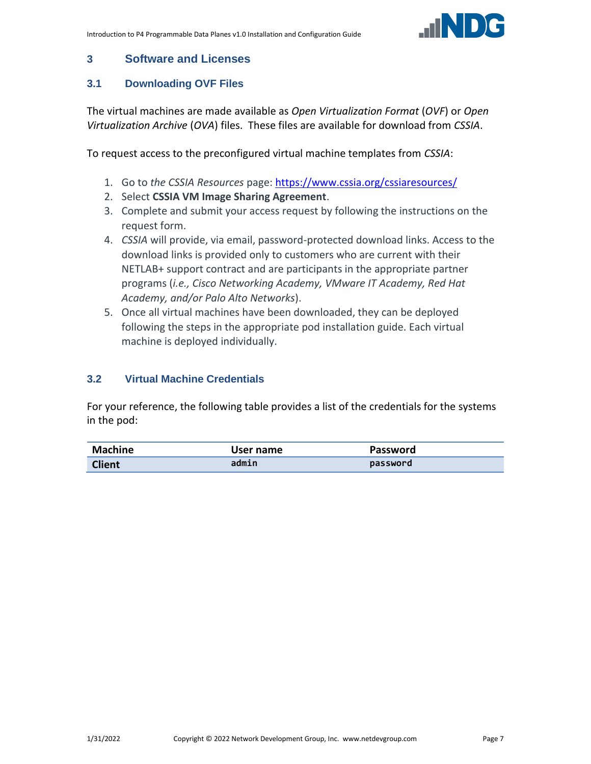

## <span id="page-6-0"></span>**3 Software and Licenses**

## <span id="page-6-1"></span>**3.1 Downloading OVF Files**

The virtual machines are made available as *Open Virtualization Format* (*OVF*) or *Open Virtualization Archive* (*OVA*) files. These files are available for download from *CSSIA*.

To request access to the preconfigured virtual machine templates from *CSSIA*:

- 1. Go to *the CSSIA Resources* page: <https://www.cssia.org/cssiaresources/>
- 2. Select **CSSIA VM Image Sharing Agreement**.
- 3. Complete and submit your access request by following the instructions on the request form.
- 4. *CSSIA* will provide, via email, password-protected download links. Access to the download links is provided only to customers who are current with their NETLAB+ support contract and are participants in the appropriate partner programs (*i.e., Cisco Networking Academy, VMware IT Academy, Red Hat Academy, and/or Palo Alto Networks*).
- 5. Once all virtual machines have been downloaded, they can be deployed following the steps in the appropriate pod installation guide. Each virtual machine is deployed individually.

## <span id="page-6-2"></span>**3.2 Virtual Machine Credentials**

For your reference, the following table provides a list of the credentials for the systems in the pod:

| <b>Machine</b> | User name | <b>Password</b> |
|----------------|-----------|-----------------|
| <b>Client</b>  | admin     | password        |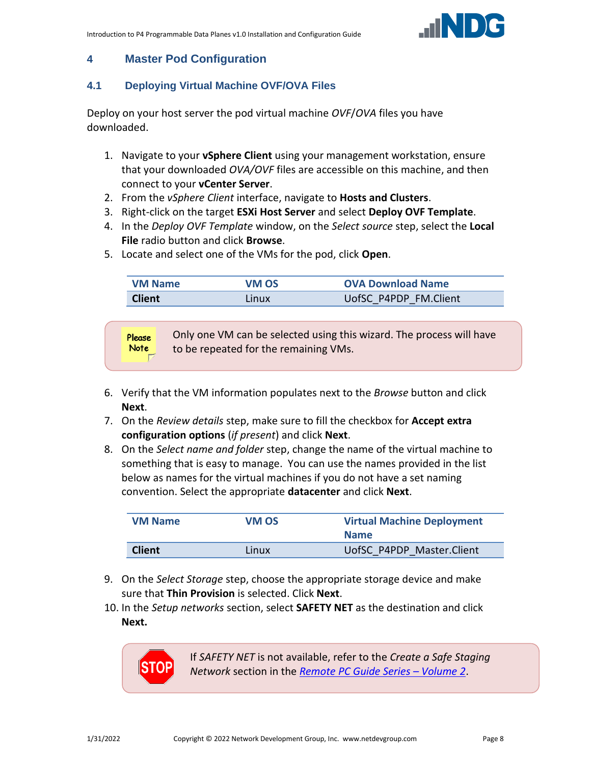

## <span id="page-7-0"></span>**4 Master Pod Configuration**

## <span id="page-7-1"></span>**4.1 Deploying Virtual Machine OVF/OVA Files**

Deploy on your host server the pod virtual machine *OVF*/*OVA* files you have downloaded.

- 1. Navigate to your **vSphere Client** using your management workstation, ensure that your downloaded *OVA/OVF* files are accessible on this machine, and then connect to your **vCenter Server**.
- 2. From the *vSphere Client* interface, navigate to **Hosts and Clusters**.
- 3. Right-click on the target **ESXi Host Server** and select **Deploy OVF Template**.
- 4. In the *Deploy OVF Template* window, on the *Select source* step, select the **Local File** radio button and click **Browse**.
- 5. Locate and select one of the VMs for the pod, click **Open**.

| <b>VM Name</b> | VM OS | <b>OVA Download Name</b> |
|----------------|-------|--------------------------|
| <b>Client</b>  | Linux | UofSC P4PDP FM.Client    |

**Please Note** 

Only one VM can be selected using this wizard. The process will have to be repeated for the remaining VMs.

- 6. Verify that the VM information populates next to the *Browse* button and click **Next**.
- 7. On the *Review details* step, make sure to fill the checkbox for **Accept extra configuration options** (*if present*) and click **Next**.
- 8. On the *Select name and folder* step, change the name of the virtual machine to something that is easy to manage. You can use the names provided in the list below as names for the virtual machines if you do not have a set naming convention. Select the appropriate **datacenter** and click **Next**.

| <b>VM Name</b> | VM OS | <b>Virtual Machine Deployment</b><br><b>Name</b> |
|----------------|-------|--------------------------------------------------|
| <b>Client</b>  | Linux | UofSC P4PDP Master.Client                        |

- 9. On the *Select Storage* step, choose the appropriate storage device and make sure that **Thin Provision** is selected. Click **Next**.
- 10. In the *Setup networks* section, select **SAFETY NET** as the destination and click **Next.**



If *SAFETY NET* is not available, refer to the *Create a Safe Staging Network* section in the *[Remote PC Guide Series](http://www.netdevgroup.com/support/documentation/NETLAB_Remote_PC_Guide_Vol_2_Installation.pdf) – Volume 2*.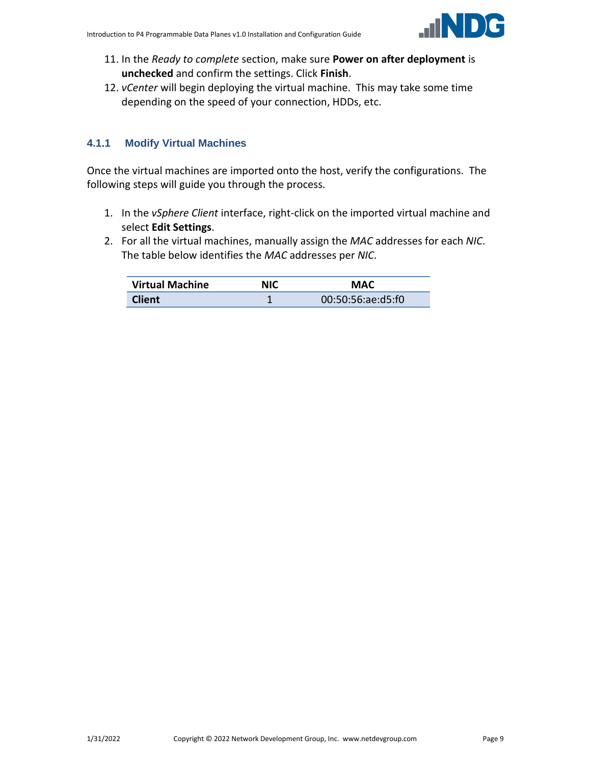

- 11. In the *Ready to complete* section, make sure **Power on after deployment** is **unchecked** and confirm the settings. Click **Finish**.
- 12. *vCenter* will begin deploying the virtual machine. This may take some time depending on the speed of your connection, HDDs, etc.

## <span id="page-8-0"></span>**4.1.1 Modify Virtual Machines**

Once the virtual machines are imported onto the host, verify the configurations. The following steps will guide you through the process.

- 1. In the *vSphere Client* interface, right-click on the imported virtual machine and select **Edit Settings**.
- 2. For all the virtual machines, manually assign the *MAC* addresses for each *NIC*. The table below identifies the *MAC* addresses per *NIC*.

| <b>Virtual Machine</b> | NIC | MAC               |
|------------------------|-----|-------------------|
| <b>Client</b>          |     | 00:50:56:ae:d5:f0 |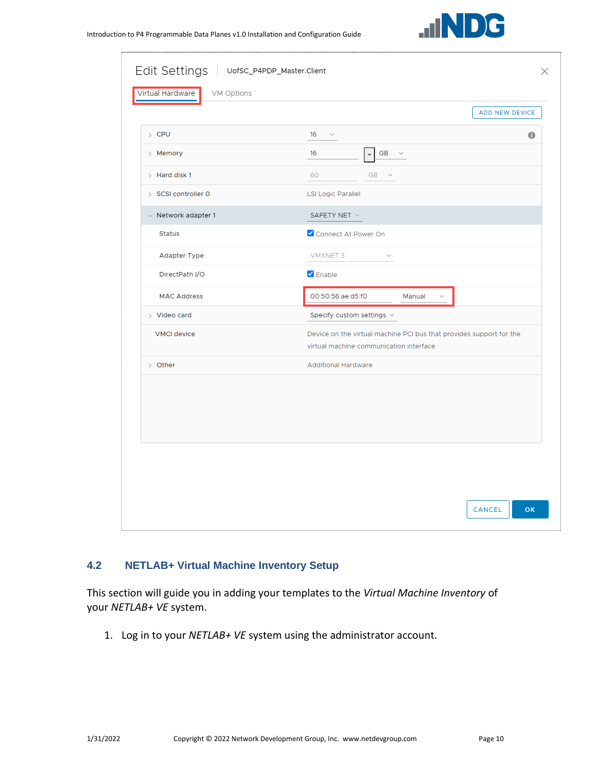|                          | ADD NEW DEVICE                                                                                                 |
|--------------------------|----------------------------------------------------------------------------------------------------------------|
| $\angle$ CPU             | 16<br>$\bf{0}$<br>$\checkmark$                                                                                 |
| > Memory                 | $GB \quad \lor$<br>16<br>$\overline{\phantom{a}}$                                                              |
| $>$ Hard disk 1          | 60<br>GB v                                                                                                     |
| > SCSI controller 0      | <b>LSI Logic Parallel</b>                                                                                      |
| $\vee$ Network adapter 1 | SAFETY NET V                                                                                                   |
| Status                   | Connect At Power On                                                                                            |
| Adapter Type             | VMXNET 3<br>$\sim$                                                                                             |
| DirectPath I/O           | <b>Z</b> Enable                                                                                                |
| <b>MAC Address</b>       | 00:50:56:ae:d5:f0<br>Manual<br>$\checkmark$                                                                    |
| $>$ Video card           | Specify custom settings $\vee$                                                                                 |
| <b>VMCI</b> device       | Device on the virtual machine PCI bus that provides support for the<br>virtual machine communication interface |
| > Other                  | <b>Additional Hardware</b>                                                                                     |
|                          |                                                                                                                |

#### <span id="page-9-0"></span>**4.2 NETLAB+ Virtual Machine Inventory Setup**

This section will guide you in adding your templates to the *Virtual Machine Inventory* of your *NETLAB+ VE* system.

1. Log in to your *NETLAB+ VE* system using the administrator account.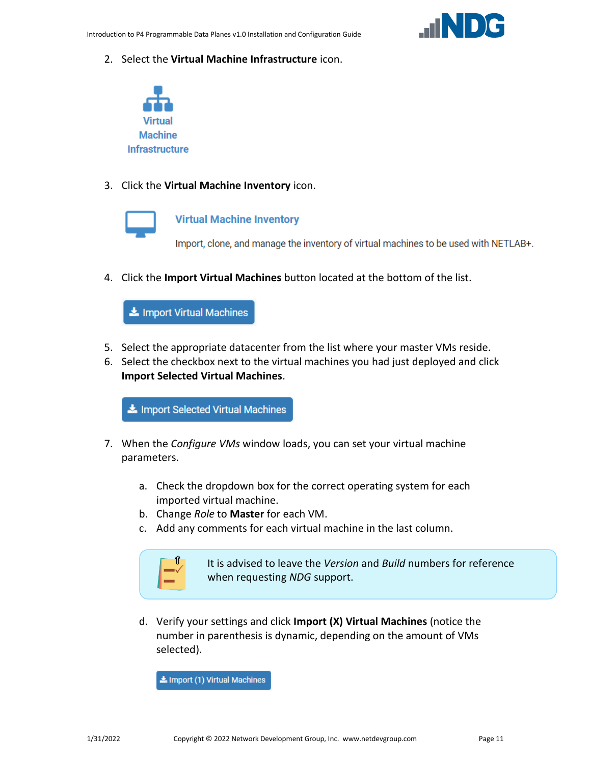

2. Select the **Virtual Machine Infrastructure** icon.



3. Click the **Virtual Machine Inventory** icon.



#### **Virtual Machine Inventory**

Import, clone, and manage the inventory of virtual machines to be used with NETLAB+.

4. Click the **Import Virtual Machines** button located at the bottom of the list.

Import Virtual Machines

- 5. Select the appropriate datacenter from the list where your master VMs reside.
- 6. Select the checkbox next to the virtual machines you had just deployed and click **Import Selected Virtual Machines**.

Import Selected Virtual Machines

- 7. When the *Configure VMs* window loads, you can set your virtual machine parameters.
	- a. Check the dropdown box for the correct operating system for each imported virtual machine.
	- b. Change *Role* to **Master** for each VM.
	- c. Add any comments for each virtual machine in the last column.



It is advised to leave the *Version* and *Build* numbers for reference when requesting *NDG* support.

d. Verify your settings and click **Import (X) Virtual Machines** (notice the number in parenthesis is dynamic, depending on the amount of VMs selected).

Import (1) Virtual Machines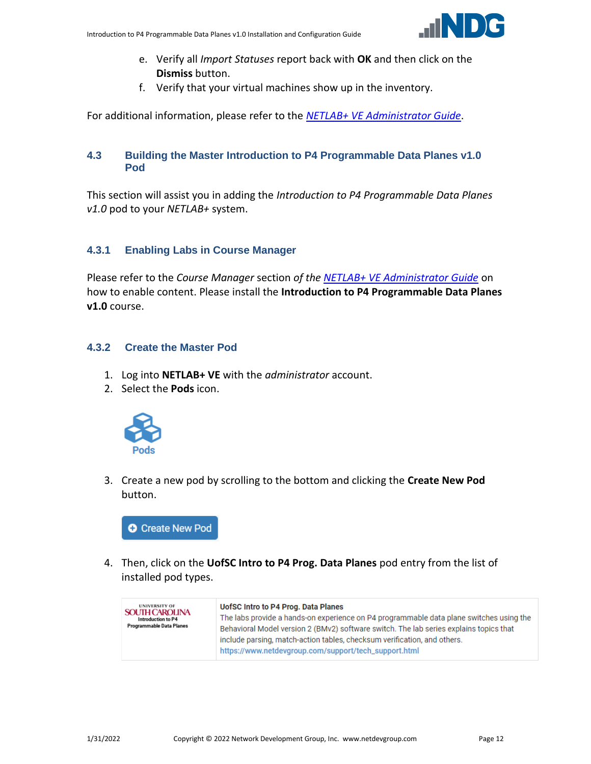

- e. Verify all *Import Statuses* report back with **OK** and then click on the **Dismiss** button.
- f. Verify that your virtual machines show up in the inventory.

For additional information, please refer to the *[NETLAB+ VE Administrator Guide](http://www.netdevgroup.com/support/documentation/netlabve/netlabve_administrator_guide.pdf#nameddest=virtual_machine_infrastructure)*.

#### <span id="page-11-0"></span>**4.3 Building the Master Introduction to P4 Programmable Data Planes v1.0 Pod**

This section will assist you in adding the *Introduction to P4 Programmable Data Planes v1.0* pod to your *NETLAB+* system.

## <span id="page-11-1"></span>**4.3.1 Enabling Labs in Course Manager**

Please refer to the *Course Manager* section *of the [NETLAB+ VE Administrator Guide](https://www.netdevgroup.com/support/documentation/netlabve/netlabve_administrator_guide.pdf#nameddest=course_manager)* on how to enable content. Please install the **Introduction to P4 Programmable Data Planes v1.0** course.

#### <span id="page-11-2"></span>**4.3.2 Create the Master Pod**

- 1. Log into **NETLAB+ VE** with the *administrator* account.
- 2. Select the **Pods** icon.



3. Create a new pod by scrolling to the bottom and clicking the **Create New Pod** button.



4. Then, click on the **UofSC Intro to P4 Prog. Data Planes** pod entry from the list of installed pod types.

| <b>UNIVERSITY OF</b><br><b>SOUTH CAROLINA</b><br>Introduction to P4<br>Programmable Data Planes | UofSC Intro to P4 Prog. Data Planes<br>The labs provide a hands-on experience on P4 programmable data plane switches using the<br>Behavioral Model version 2 (BMv2) software switch. The lab series explains topics that<br>include parsing, match-action tables, checksum verification, and others.<br>https://www.netdevgroup.com/support/tech_support.html |
|-------------------------------------------------------------------------------------------------|---------------------------------------------------------------------------------------------------------------------------------------------------------------------------------------------------------------------------------------------------------------------------------------------------------------------------------------------------------------|
|-------------------------------------------------------------------------------------------------|---------------------------------------------------------------------------------------------------------------------------------------------------------------------------------------------------------------------------------------------------------------------------------------------------------------------------------------------------------------|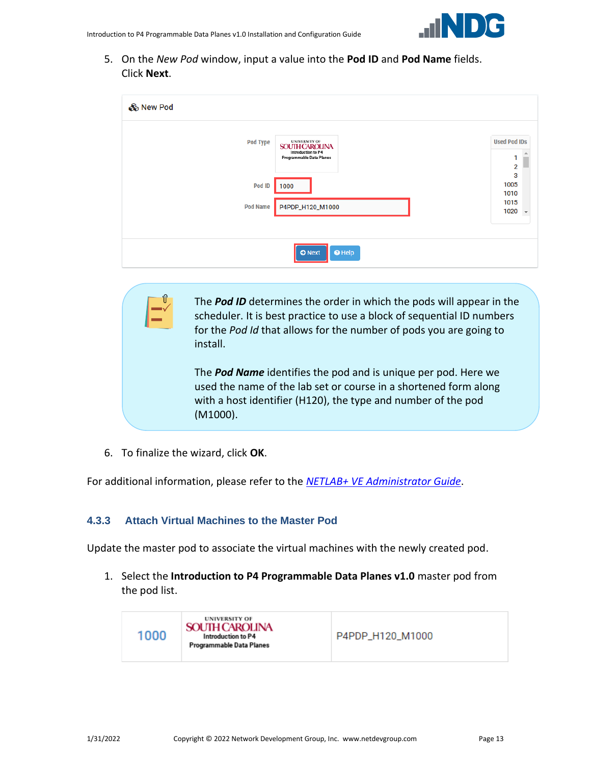5. On the *New Pod* window, input a value into the **Pod ID** and **Pod Name** fields. Click **Next**.

| & New Pod       |                                                                                                 |                                          |
|-----------------|-------------------------------------------------------------------------------------------------|------------------------------------------|
| <b>Pod Type</b> | <b>UNIVERSITY OF</b><br><b>SOUTH CAROLINA</b><br>Introduction to P4<br>Programmable Data Planes | <b>Used Pod IDs</b><br>$\overline{2}$    |
| Pod ID          | 1000                                                                                            | 3<br>1005<br>1010                        |
| <b>Pod Name</b> | P4PDP_H120_M1000                                                                                | 1015<br>1020<br>$\overline{\phantom{a}}$ |
|                 |                                                                                                 |                                          |
|                 | $\Theta$ Help<br><b>O</b> Next                                                                  |                                          |

The *Pod ID* determines the order in which the pods will appear in the scheduler. It is best practice to use a block of sequential ID numbers for the *Pod Id* that allows for the number of pods you are going to install.

The *Pod Name* identifies the pod and is unique per pod. Here we used the name of the lab set or course in a shortened form along with a host identifier (H120), the type and number of the pod (M1000).

6. To finalize the wizard, click **OK**.

For additional information, please refer to the *NETLAB+ VE [Administrator Guide](http://www.netdevgroup.com/support/documentation/netlabve/netlabve_administrator_guide.pdf)*.

#### <span id="page-12-0"></span>**4.3.3 Attach Virtual Machines to the Master Pod**

Update the master pod to associate the virtual machines with the newly created pod.

1. Select the **Introduction to P4 Programmable Data Planes v1.0** master pod from the pod list.

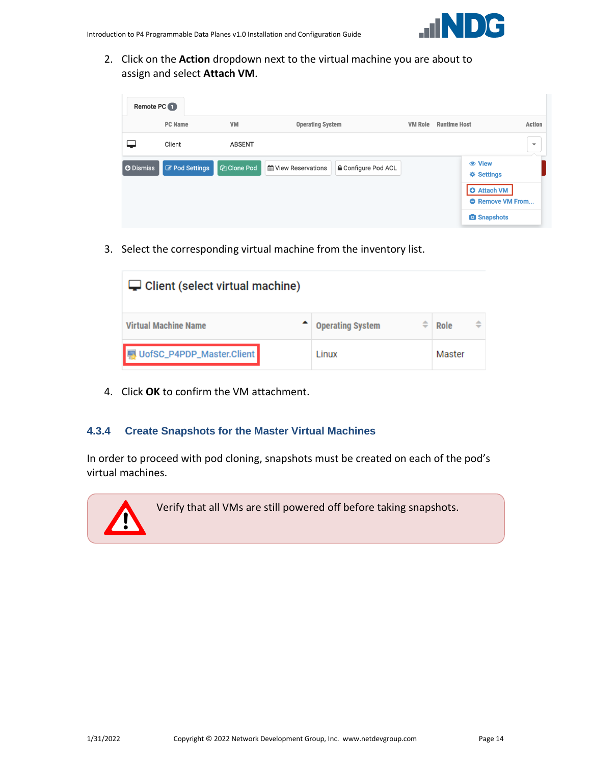2. Click on the **Action** dropdown next to the virtual machine you are about to assign and select **Attach VM**.

| Remote PC        |                       |                    |                                                 |                |                                                                    |                          |  |
|------------------|-----------------------|--------------------|-------------------------------------------------|----------------|--------------------------------------------------------------------|--------------------------|--|
|                  | <b>PC</b> Name        | VM                 | <b>Operating System</b>                         | <b>VM Role</b> | <b>Runtime Host</b>                                                | Action                   |  |
|                  | Client                | <b>ABSENT</b>      |                                                 |                |                                                                    | $\overline{\phantom{a}}$ |  |
| <b>O</b> Dismiss | <b>Z</b> Pod Settings | <b>图 Clone Pod</b> | <b>△</b> Configure Pod ACL<br>Wiew Reservations |                | <b>☆ Settings</b><br><b>O</b> Attach VM<br><b>C</b> Remove VM From |                          |  |
|                  |                       |                    |                                                 |                | <b>O</b> Snapshots                                                 |                          |  |

3. Select the corresponding virtual machine from the inventory list.

| $\Box$ Client (select virtual machine) |                              |           |  |  |  |
|----------------------------------------|------------------------------|-----------|--|--|--|
| <b>Virtual Machine Name</b>            | ÷<br><b>Operating System</b> | ≑<br>Role |  |  |  |
| UofSC_P4PDP_Master.Client              | Linux                        | Master    |  |  |  |

4. Click **OK** to confirm the VM attachment.

#### <span id="page-13-0"></span>**4.3.4 Create Snapshots for the Master Virtual Machines**

In order to proceed with pod cloning, snapshots must be created on each of the pod's virtual machines.



Verify that all VMs are still powered off before taking snapshots.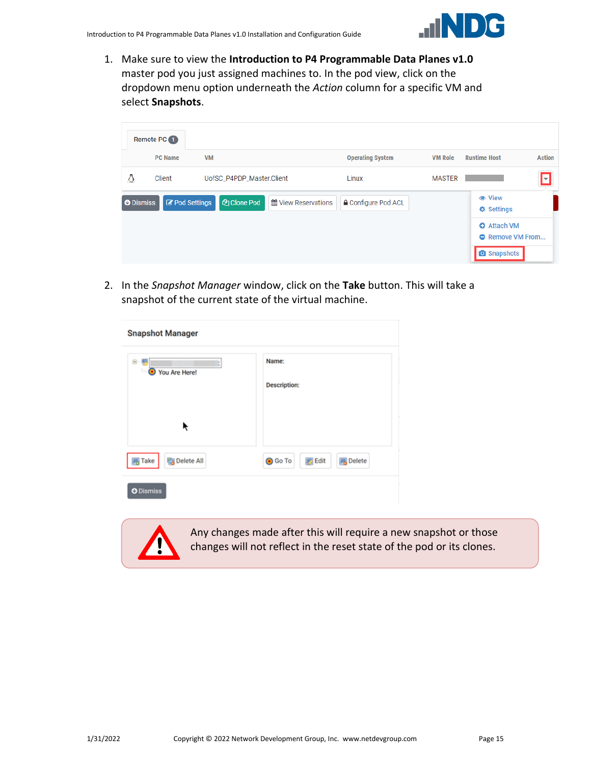

1. Make sure to view the **Introduction to P4 Programmable Data Planes v1.0** master pod you just assigned machines to. In the pod view, click on the dropdown menu option underneath the *Action* column for a specific VM and select **Snapshots**.

|                  | Remote PC <b>O</b> |                       |                                           |                            |                |                                               |
|------------------|--------------------|-----------------------|-------------------------------------------|----------------------------|----------------|-----------------------------------------------|
|                  | <b>PC Name</b>     | <b>VM</b>             |                                           | <b>Operating System</b>    | <b>VM Role</b> | <b>Action</b><br><b>Runtime Host</b>          |
| ۵                | Client             |                       | UofSC_P4PDP_Master.Client                 | Linux                      | <b>MASTER</b>  | ⊡                                             |
| <b>O</b> Dismiss |                    | <b>B</b> Pod Settings | <b>P</b> Clone Pod<br>倫 View Reservations | <b>△</b> Configure Pod ACL |                | <b>♦ Settings</b>                             |
|                  |                    |                       |                                           |                            |                | <b>O</b> Attach VM<br><b>O</b> Remove VM From |
|                  |                    |                       |                                           |                            |                | <b>O</b> Snapshots                            |

2. In the *Snapshot Manager* window, click on the **Take** button. This will take a snapshot of the current state of the virtual machine.

| <b>Snapshot Manager</b>              |                                                    |
|--------------------------------------|----------------------------------------------------|
| 白 層<br>You Are Here!<br>$\bullet$    | Name:<br><b>Description:</b>                       |
|                                      |                                                    |
| <b>同</b> Take<br><b>B</b> Delete All | <b>O</b> Go To<br><b>B</b> Edit<br><b>属</b> Delete |
| <b>O</b> Dismiss                     |                                                    |



Any changes made after this will require a new snapshot or those changes will not reflect in the reset state of the pod or its clones.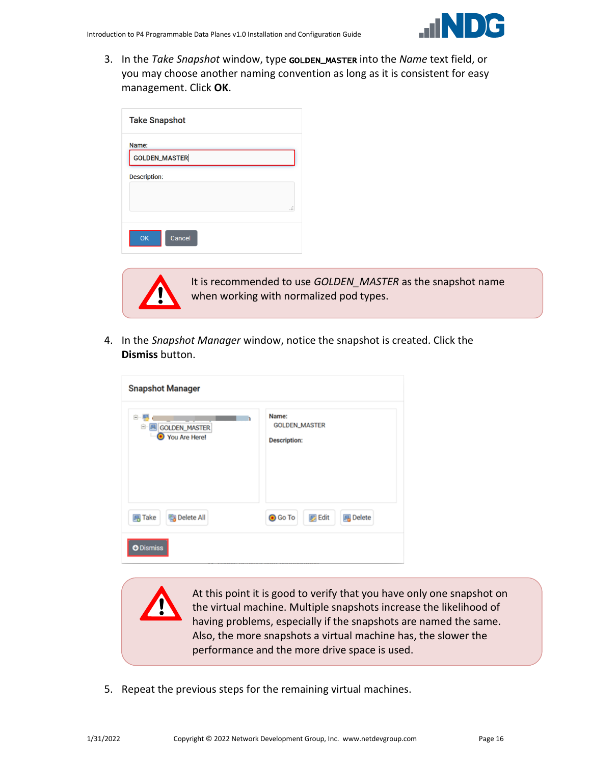

3. In the *Take Snapshot* window, type GOLDEN\_MASTER into the *Name* text field, or you may choose another naming convention as long as it is consistent for easy management. Click **OK**.

| <b>Take Snapshot</b> |    |
|----------------------|----|
| Name:                |    |
| GOLDEN_MASTER        |    |
| <b>Description:</b>  |    |
|                      |    |
|                      | d. |
|                      |    |
| OK<br>Cancel         |    |



It is recommended to use *GOLDEN\_MASTER* as the snapshot name when working with normalized pod types.

4. In the *Snapshot Manager* window, notice the snapshot is created. Click the **Dismiss** button.

| <b>Snapshot Manager</b>                  |                                                      |  |  |  |  |
|------------------------------------------|------------------------------------------------------|--|--|--|--|
| e<br>GOLDEN_MASTER<br>Θ<br>You Are Here! | Name:<br><b>GOLDEN_MASTER</b><br><b>Description:</b> |  |  |  |  |
| <b>B</b> Delete All<br><b>马 Take</b>     | <b>B</b> Edit<br><b>風</b> Delete<br><b>O</b> Go To   |  |  |  |  |
| <b>O</b> Dismiss                         |                                                      |  |  |  |  |

At this point it is good to verify that you have only one snapshot on the virtual machine. Multiple snapshots increase the likelihood of having problems, especially if the snapshots are named the same. Also, the more snapshots a virtual machine has, the slower the performance and the more drive space is used.

5. Repeat the previous steps for the remaining virtual machines.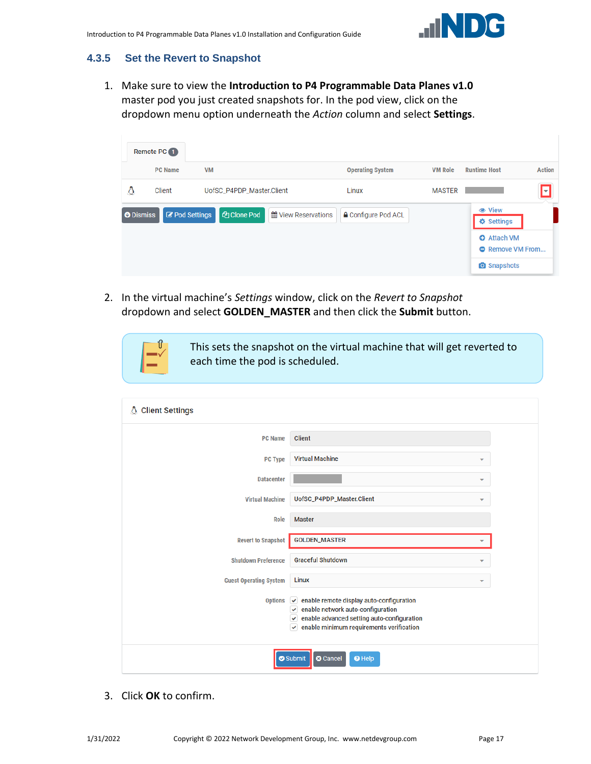

### <span id="page-16-0"></span>**4.3.5 Set the Revert to Snapshot**

1. Make sure to view the **Introduction to P4 Programmable Data Planes v1.0** master pod you just created snapshots for. In the pod view, click on the dropdown menu option underneath the *Action* column and select **Settings**.

|                  | Remote PC <b>O</b>    |                           |                     |                            |                |                                      |               |  |  |  |
|------------------|-----------------------|---------------------------|---------------------|----------------------------|----------------|--------------------------------------|---------------|--|--|--|
|                  | <b>PC Name</b>        | <b>VM</b>                 |                     | <b>Operating System</b>    | <b>VM Role</b> | <b>Runtime Host</b>                  | <b>Action</b> |  |  |  |
| ۵                | Client                | UofSC_P4PDP_Master.Client |                     | Linux                      | <b>MASTER</b>  |                                      | ◘             |  |  |  |
| <b>O</b> Dismiss | <b>B</b> Pod Settings | <b>图 Clone Pod</b>        | 倫 View Reservations | <b>△</b> Configure Pod ACL |                | <b>●</b> View<br><b>♦ Settings</b>   |               |  |  |  |
|                  |                       |                           |                     |                            |                | <b>O</b> Attach VM<br>Remove VM From |               |  |  |  |
|                  |                       |                           |                     |                            |                | <b>O</b> Snapshots                   |               |  |  |  |

2. In the virtual machine's *Settings* window, click on the *Revert to Snapshot* dropdown and select **GOLDEN\_MASTER** and then click the **Submit** button.

> This sets the snapshot on the virtual machine that will get reverted to each time the pod is scheduled.

| <b>Client Settings</b><br>A   |                                                                                                                                                                                                                              |  |
|-------------------------------|------------------------------------------------------------------------------------------------------------------------------------------------------------------------------------------------------------------------------|--|
| <b>PC Name</b>                | Client                                                                                                                                                                                                                       |  |
| PC Type                       | <b>Virtual Machine</b><br>٠                                                                                                                                                                                                  |  |
| <b>Datacenter</b>             | ▼                                                                                                                                                                                                                            |  |
| <b>Virtual Machine</b>        | UofSC_P4PDP_Master.Client<br>▼                                                                                                                                                                                               |  |
| Role                          | <b>Master</b>                                                                                                                                                                                                                |  |
| <b>Revert to Snapshot</b>     | <b>GOLDEN_MASTER</b>                                                                                                                                                                                                         |  |
| <b>Shutdown Preference</b>    | <b>Graceful Shutdown</b><br>▼                                                                                                                                                                                                |  |
| <b>Guest Operating System</b> | Linux<br>$\overline{\phantom{a}}$                                                                                                                                                                                            |  |
| <b>Options</b>                | enable remote display auto-configuration<br>$\checkmark$<br>enable network auto-configuration<br>v<br>enable advanced setting auto-configuration<br>$\checkmark$<br>enable minimum requirements verification<br>$\checkmark$ |  |
|                               | Submit<br><b>O</b> Cancel<br><sup>O</sup> Help                                                                                                                                                                               |  |

3. Click **OK** to confirm.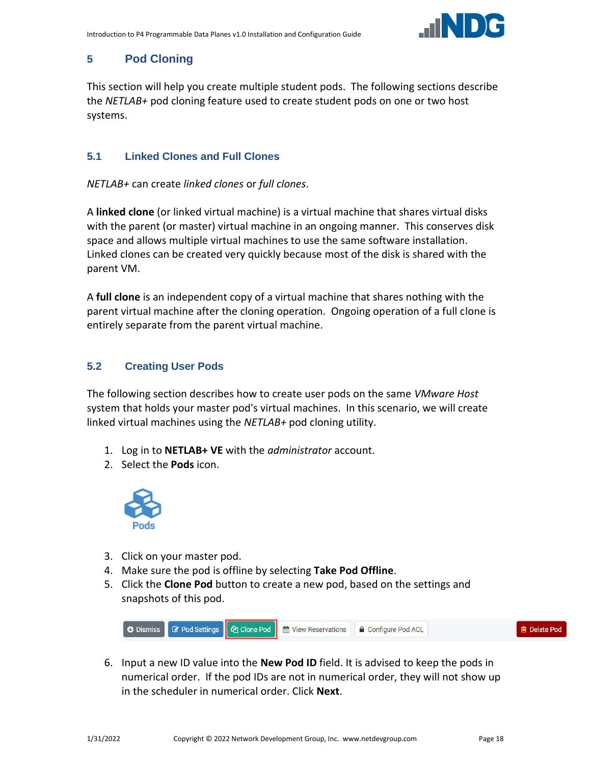

## <span id="page-17-0"></span>**5 Pod Cloning**

This section will help you create multiple student pods. The following sections describe the *NETLAB+* pod cloning feature used to create student pods on one or two host systems.

#### <span id="page-17-1"></span>**5.1 Linked Clones and Full Clones**

*NETLAB+* can create *linked clones* or *full clones*.

A **linked clone** (or linked virtual machine) is a virtual machine that shares virtual disks with the parent (or master) virtual machine in an ongoing manner. This conserves disk space and allows multiple virtual machines to use the same software installation. Linked clones can be created very quickly because most of the disk is shared with the parent VM.

A **full clone** is an independent copy of a virtual machine that shares nothing with the parent virtual machine after the cloning operation. Ongoing operation of a full clone is entirely separate from the parent virtual machine.

## <span id="page-17-2"></span>**5.2 Creating User Pods**

The following section describes how to create user pods on the same *VMware Host* system that holds your master pod's virtual machines. In this scenario, we will create linked virtual machines using the *NETLAB+* pod cloning utility.

- 1. Log in to **NETLAB+ VE** with the *administrator* account.
- 2. Select the **Pods** icon.



- 3. Click on your master pod.
- 4. Make sure the pod is offline by selecting **Take Pod Offline**.
- 5. Click the **Clone Pod** button to create a new pod, based on the settings and snapshots of this pod.



6. Input a new ID value into the **New Pod ID** field. It is advised to keep the pods in numerical order. If the pod IDs are not in numerical order, they will not show up in the scheduler in numerical order. Click **Next**.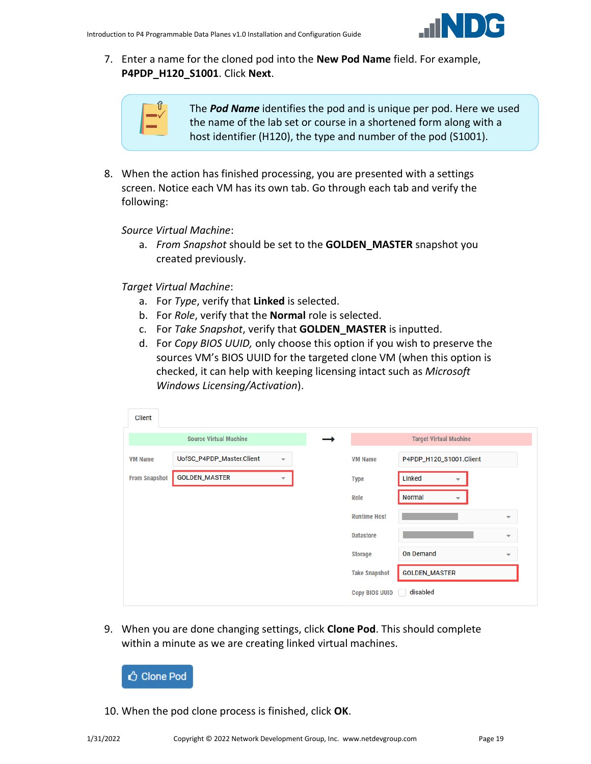

7. Enter a name for the cloned pod into the **New Pod Name** field. For example, **P4PDP\_H120\_S1001**. Click **Next**.

| ۰ |
|---|
|   |

The *Pod Name* identifies the pod and is unique per pod. Here we used the name of the lab set or course in a shortened form along with a host identifier (H120), the type and number of the pod (S1001).

8. When the action has finished processing, you are presented with a settings screen. Notice each VM has its own tab. Go through each tab and verify the following:

*Source Virtual Machine*:

a. *From Snapshot* should be set to the **GOLDEN\_MASTER** snapshot you created previously.

*Target Virtual Machine*:

- a. For *Type*, verify that **Linked** is selected.
- b. For *Role*, verify that the **Normal** role is selected.
- c. For *Take Snapshot*, verify that **GOLDEN\_MASTER** is inputted.
- d. For *Copy BIOS UUID,* only choose this option if you wish to preserve the sources VM's BIOS UUID for the targeted clone VM (when this option is checked, it can help with keeping licensing intact such as *Microsoft Windows Licensing/Activation*).

| <b>Client</b>        |                               |                          |                       |                                           |                          |
|----------------------|-------------------------------|--------------------------|-----------------------|-------------------------------------------|--------------------------|
|                      | <b>Source Virtual Machine</b> |                          |                       | <b>Target Virtual Machine</b>             |                          |
| <b>VM Name</b>       | UofSC_P4PDP_Master.Client     | $\overline{\phantom{a}}$ | <b>VM Name</b>        | P4PDP_H120_S1001.Client                   |                          |
| <b>From Snapshot</b> | <b>GOLDEN_MASTER</b>          | ▼                        | <b>Type</b>           | Linked<br>▼                               |                          |
|                      |                               |                          | Role                  | <b>Normal</b><br>$\overline{\phantom{a}}$ |                          |
|                      |                               |                          | <b>Runtime Host</b>   |                                           | $\overline{\phantom{a}}$ |
|                      |                               |                          | <b>Datastore</b>      |                                           | $\overline{\phantom{a}}$ |
|                      |                               |                          | <b>Storage</b>        | <b>On Demand</b>                          | $\overline{\phantom{a}}$ |
|                      |                               |                          | <b>Take Snapshot</b>  | <b>GOLDEN_MASTER</b>                      |                          |
|                      |                               |                          | <b>Copy BIOS UUID</b> | disabled                                  |                          |

9. When you are done changing settings, click **Clone Pod**. This should complete within a minute as we are creating linked virtual machines.



10. When the pod clone process is finished, click **OK**.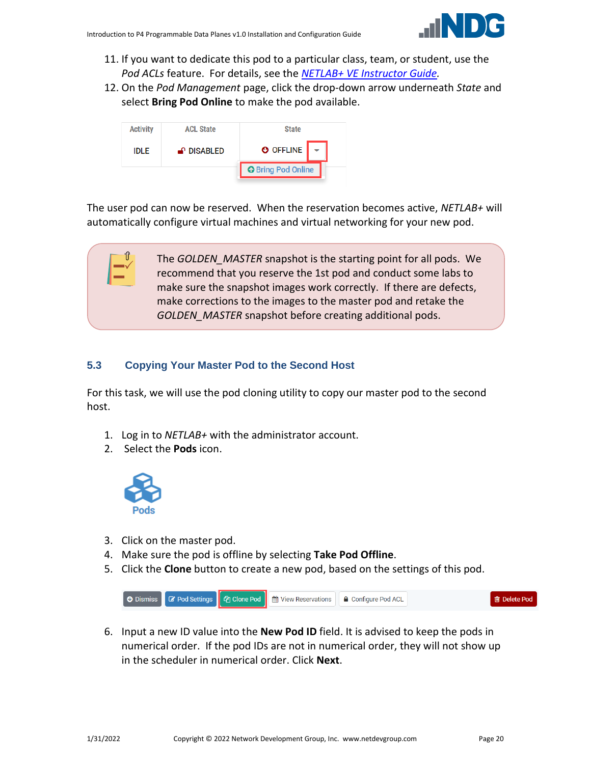

- 11. If you want to dedicate this pod to a particular class, team, or student, use the *Pod ACLs* feature. For details, see the *[NETLAB+ VE Instructor Guide.](http://www.netdevgroup.com/support/documentation/netlabve/netlabve_instructor_guide.pdf#nameddest=manage_pod_acls)*
- 12. On the *Pod Management* page, click the drop-down arrow underneath *State* and select **Bring Pod Online** to make the pod available.



The user pod can now be reserved. When the reservation becomes active, *NETLAB+* will automatically configure virtual machines and virtual networking for your new pod.

> The *GOLDEN\_MASTER* snapshot is the starting point for all pods. We recommend that you reserve the 1st pod and conduct some labs to make sure the snapshot images work correctly. If there are defects, make corrections to the images to the master pod and retake the *GOLDEN\_MASTER* snapshot before creating additional pods.

## <span id="page-19-0"></span>**5.3 Copying Your Master Pod to the Second Host**

For this task, we will use the pod cloning utility to copy our master pod to the second host.

- 1. Log in to *NETLAB+* with the administrator account.
- 2. Select the **Pods** icon.



- 3. Click on the master pod.
- 4. Make sure the pod is offline by selecting **Take Pod Offline**.
- 5. Click the **Clone** button to create a new pod, based on the settings of this pod.



6. Input a new ID value into the **New Pod ID** field. It is advised to keep the pods in numerical order. If the pod IDs are not in numerical order, they will not show up in the scheduler in numerical order. Click **Next**.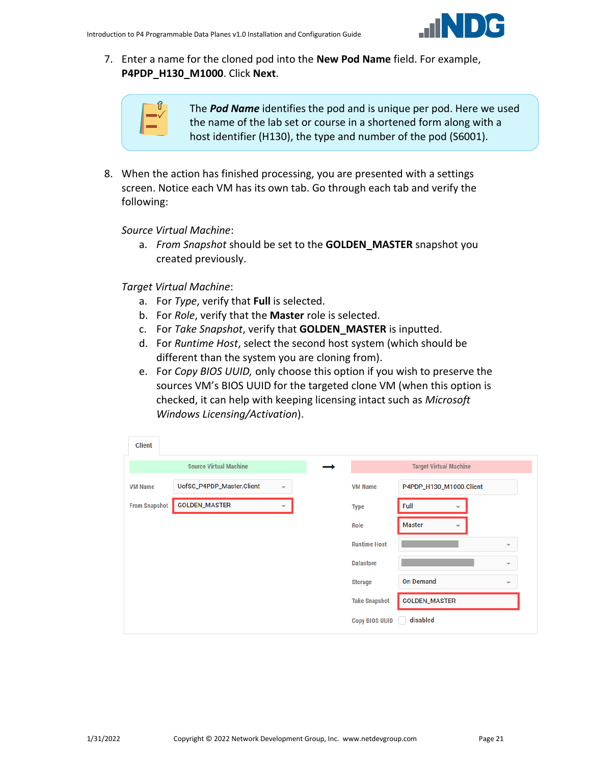

7. Enter a name for the cloned pod into the **New Pod Name** field. For example, **P4PDP\_H130\_M1000**. Click **Next**.

| т |
|---|
|   |

The *Pod Name* identifies the pod and is unique per pod. Here we used the name of the lab set or course in a shortened form along with a host identifier (H130), the type and number of the pod (S6001).

8. When the action has finished processing, you are presented with a settings screen. Notice each VM has its own tab. Go through each tab and verify the following:

*Source Virtual Machine*:

a. *From Snapshot* should be set to the **GOLDEN\_MASTER** snapshot you created previously.

*Target Virtual Machine*:

- a. For *Type*, verify that **Full** is selected.
- b. For *Role*, verify that the **Master** role is selected.
- c. For *Take Snapshot*, verify that **GOLDEN\_MASTER** is inputted.
- d. For *Runtime Host*, select the second host system (which should be different than the system you are cloning from).
- e. For *Copy BIOS UUID,* only choose this option if you wish to preserve the sources VM's BIOS UUID for the targeted clone VM (when this option is checked, it can help with keeping licensing intact such as *Microsoft Windows Licensing/Activation*).

| Client               |                               |   |                       |                                  |                          |
|----------------------|-------------------------------|---|-----------------------|----------------------------------|--------------------------|
|                      | <b>Source Virtual Machine</b> |   |                       | <b>Target Virtual Machine</b>    |                          |
| <b>VM Name</b>       | UofSC_P4PDP_Master.Client     | ▼ | <b>VM Name</b>        | P4PDP_H130_M1000.Client          |                          |
| <b>From Snapshot</b> | <b>GOLDEN_MASTER</b>          | ۰ | <b>Type</b>           | Full<br>$\overline{\phantom{a}}$ |                          |
|                      |                               |   | Role                  | <b>Master</b><br>▼               |                          |
|                      |                               |   | <b>Runtime Host</b>   |                                  | $\overline{\phantom{a}}$ |
|                      |                               |   | <b>Datastore</b>      |                                  | $\overline{\phantom{a}}$ |
|                      |                               |   | <b>Storage</b>        | <b>On Demand</b>                 | $\overline{\phantom{a}}$ |
|                      |                               |   | <b>Take Snapshot</b>  | <b>GOLDEN_MASTER</b>             |                          |
|                      |                               |   | <b>Copy BIOS UUID</b> | disabled                         |                          |